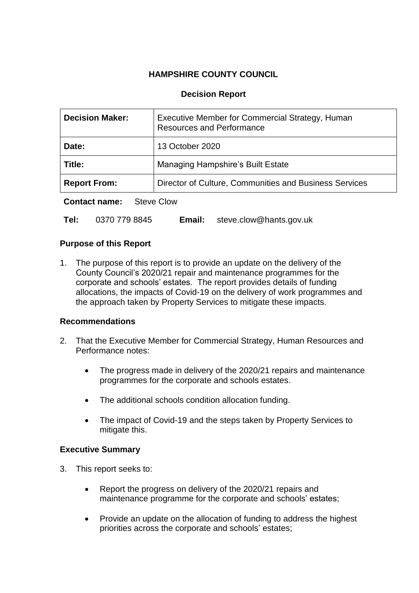# **HAMPSHIRE COUNTY COUNCIL**

#### **Decision Report**

| <b>Decision Maker:</b>                    | Executive Member for Commercial Strategy, Human<br><b>Resources and Performance</b> |  |
|-------------------------------------------|-------------------------------------------------------------------------------------|--|
| Date:                                     | 13 October 2020                                                                     |  |
| Title:                                    | <b>Managing Hampshire's Built Estate</b>                                            |  |
| <b>Report From:</b>                       | Director of Culture, Communities and Business Services                              |  |
| <b>Contact name:</b><br><b>Steve Clow</b> |                                                                                     |  |

**Tel:** 0370 779 8845 **Email:** steve.clow@hants.gov.uk

## **Purpose of this Report**

1. The purpose of this report is to provide an update on the delivery of the County Council's 2020/21 repair and maintenance programmes for the corporate and schools' estates. The report provides details of funding allocations, the impacts of Covid-19 on the delivery of work programmes and the approach taken by Property Services to mitigate these impacts.

## **Recommendations**

- 2. That the Executive Member for Commercial Strategy, Human Resources and Performance notes:
	- The progress made in delivery of the 2020/21 repairs and maintenance programmes for the corporate and schools estates.
	- The additional schools condition allocation funding.
	- The impact of Covid-19 and the steps taken by Property Services to mitigate this.

## **Executive Summary**

- 3. This report seeks to:
	- Report the progress on delivery of the 2020/21 repairs and maintenance programme for the corporate and schools' estates;
	- Provide an update on the allocation of funding to address the highest priorities across the corporate and schools' estates;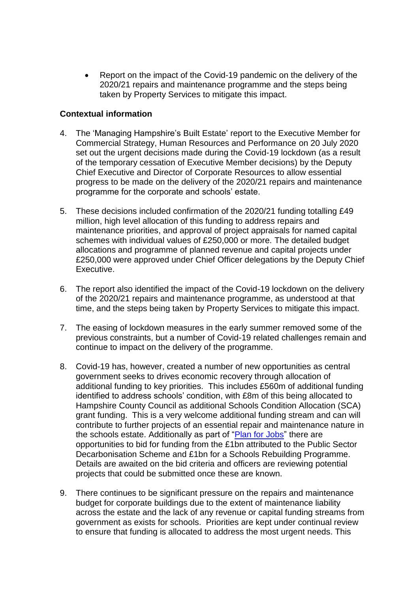• Report on the impact of the Covid-19 pandemic on the delivery of the 2020/21 repairs and maintenance programme and the steps being taken by Property Services to mitigate this impact.

## **Contextual information**

- 4. The 'Managing Hampshire's Built Estate' report to the Executive Member for Commercial Strategy, Human Resources and Performance on 20 July 2020 set out the urgent decisions made during the Covid-19 lockdown (as a result of the temporary cessation of Executive Member decisions) by the Deputy Chief Executive and Director of Corporate Resources to allow essential progress to be made on the delivery of the 2020/21 repairs and maintenance programme for the corporate and schools' estate.
- 5. These decisions included confirmation of the 2020/21 funding totalling £49 million, high level allocation of this funding to address repairs and maintenance priorities, and approval of project appraisals for named capital schemes with individual values of £250,000 or more. The detailed budget allocations and programme of planned revenue and capital projects under £250,000 were approved under Chief Officer delegations by the Deputy Chief Executive.
- 6. The report also identified the impact of the Covid-19 lockdown on the delivery of the 2020/21 repairs and maintenance programme, as understood at that time, and the steps being taken by Property Services to mitigate this impact.
- 7. The easing of lockdown measures in the early summer removed some of the previous constraints, but a number of Covid-19 related challenges remain and continue to impact on the delivery of the programme.
- 8. Covid-19 has, however, created a number of new opportunities as central government seeks to drives economic recovery through allocation of additional funding to key priorities. This includes £560m of additional funding identified to address schools' condition, with £8m of this being allocated to Hampshire County Council as additional Schools Condition Allocation (SCA) grant funding. This is a very welcome additional funding stream and can will contribute to further projects of an essential repair and maintenance nature in the schools estate. Additionally as part of ["Plan for Jobs"](https://www.gov.uk/government/publications/a-plan-for-jobs-documents/a-plan-for-jobs-2020) there are opportunities to bid for funding from the £1bn attributed to the Public Sector Decarbonisation Scheme and £1bn for a Schools Rebuilding Programme. Details are awaited on the bid criteria and officers are reviewing potential projects that could be submitted once these are known.
- 9. There continues to be significant pressure on the repairs and maintenance budget for corporate buildings due to the extent of maintenance liability across the estate and the lack of any revenue or capital funding streams from government as exists for schools. Priorities are kept under continual review to ensure that funding is allocated to address the most urgent needs. This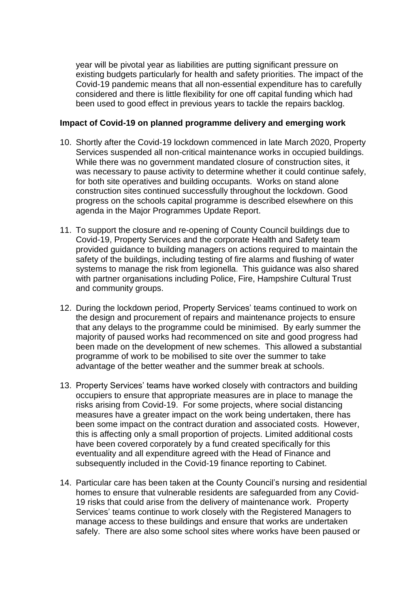year will be pivotal year as liabilities are putting significant pressure on existing budgets particularly for health and safety priorities. The impact of the Covid-19 pandemic means that all non-essential expenditure has to carefully considered and there is little flexibility for one off capital funding which had been used to good effect in previous years to tackle the repairs backlog.

#### **Impact of Covid-19 on planned programme delivery and emerging work**

- 10. Shortly after the Covid-19 lockdown commenced in late March 2020, Property Services suspended all non-critical maintenance works in occupied buildings. While there was no government mandated closure of construction sites, it was necessary to pause activity to determine whether it could continue safely, for both site operatives and building occupants. Works on stand alone construction sites continued successfully throughout the lockdown. Good progress on the schools capital programme is described elsewhere on this agenda in the Major Programmes Update Report.
- 11. To support the closure and re-opening of County Council buildings due to Covid-19, Property Services and the corporate Health and Safety team provided guidance to building managers on actions required to maintain the safety of the buildings, including testing of fire alarms and flushing of water systems to manage the risk from legionella. This guidance was also shared with partner organisations including Police, Fire, Hampshire Cultural Trust and community groups.
- 12. During the lockdown period, Property Services' teams continued to work on the design and procurement of repairs and maintenance projects to ensure that any delays to the programme could be minimised. By early summer the majority of paused works had recommenced on site and good progress had been made on the development of new schemes. This allowed a substantial programme of work to be mobilised to site over the summer to take advantage of the better weather and the summer break at schools.
- 13. Property Services' teams have worked closely with contractors and building occupiers to ensure that appropriate measures are in place to manage the risks arising from Covid-19. For some projects, where social distancing measures have a greater impact on the work being undertaken, there has been some impact on the contract duration and associated costs. However, this is affecting only a small proportion of projects. Limited additional costs have been covered corporately by a fund created specifically for this eventuality and all expenditure agreed with the Head of Finance and subsequently included in the Covid-19 finance reporting to Cabinet.
- 14. Particular care has been taken at the County Council's nursing and residential homes to ensure that vulnerable residents are safeguarded from any Covid-19 risks that could arise from the delivery of maintenance work. Property Services' teams continue to work closely with the Registered Managers to manage access to these buildings and ensure that works are undertaken safely. There are also some school sites where works have been paused or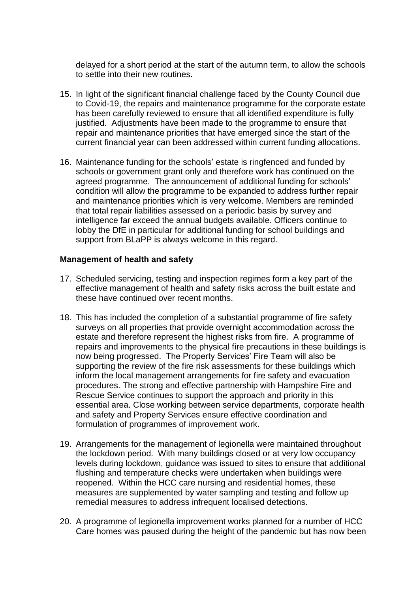delayed for a short period at the start of the autumn term, to allow the schools to settle into their new routines.

- 15. In light of the significant financial challenge faced by the County Council due to Covid-19, the repairs and maintenance programme for the corporate estate has been carefully reviewed to ensure that all identified expenditure is fully justified. Adjustments have been made to the programme to ensure that repair and maintenance priorities that have emerged since the start of the current financial year can been addressed within current funding allocations.
- 16. Maintenance funding for the schools' estate is ringfenced and funded by schools or government grant only and therefore work has continued on the agreed programme. The announcement of additional funding for schools' condition will allow the programme to be expanded to address further repair and maintenance priorities which is very welcome. Members are reminded that total repair liabilities assessed on a periodic basis by survey and intelligence far exceed the annual budgets available. Officers continue to lobby the DfE in particular for additional funding for school buildings and support from BLaPP is always welcome in this regard.

#### **Management of health and safety**

- 17. Scheduled servicing, testing and inspection regimes form a key part of the effective management of health and safety risks across the built estate and these have continued over recent months.
- 18. This has included the completion of a substantial programme of fire safety surveys on all properties that provide overnight accommodation across the estate and therefore represent the highest risks from fire. A programme of repairs and improvements to the physical fire precautions in these buildings is now being progressed. The Property Services' Fire Team will also be supporting the review of the fire risk assessments for these buildings which inform the local management arrangements for fire safety and evacuation procedures. The strong and effective partnership with Hampshire Fire and Rescue Service continues to support the approach and priority in this essential area. Close working between service departments, corporate health and safety and Property Services ensure effective coordination and formulation of programmes of improvement work.
- 19. Arrangements for the management of legionella were maintained throughout the lockdown period. With many buildings closed or at very low occupancy levels during lockdown, guidance was issued to sites to ensure that additional flushing and temperature checks were undertaken when buildings were reopened. Within the HCC care nursing and residential homes, these measures are supplemented by water sampling and testing and follow up remedial measures to address infrequent localised detections.
- 20. A programme of legionella improvement works planned for a number of HCC Care homes was paused during the height of the pandemic but has now been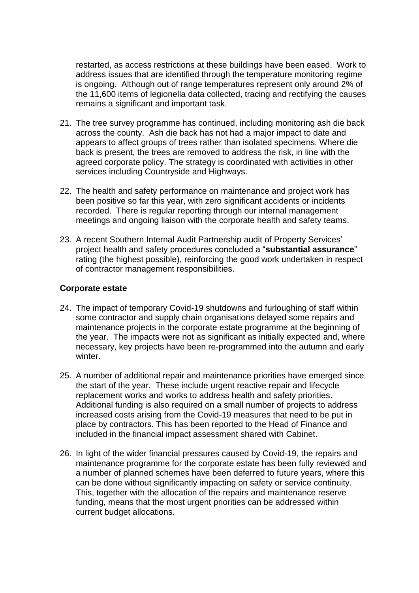restarted, as access restrictions at these buildings have been eased. Work to address issues that are identified through the temperature monitoring regime is ongoing. Although out of range temperatures represent only around 2% of the 11,600 items of legionella data collected, tracing and rectifying the causes remains a significant and important task.

- 21. The tree survey programme has continued, including monitoring ash die back across the county. Ash die back has not had a major impact to date and appears to affect groups of trees rather than isolated specimens. Where die back is present, the trees are removed to address the risk, in line with the agreed corporate policy. The strategy is coordinated with activities in other services including Countryside and Highways.
- 22. The health and safety performance on maintenance and project work has been positive so far this year, with zero significant accidents or incidents recorded. There is regular reporting through our internal management meetings and ongoing liaison with the corporate health and safety teams.
- 23. A recent Southern Internal Audit Partnership audit of Property Services' project health and safety procedures concluded a "**substantial assurance**" rating (the highest possible), reinforcing the good work undertaken in respect of contractor management responsibilities.

# **Corporate estate**

- 24. The impact of temporary Covid-19 shutdowns and furloughing of staff within some contractor and supply chain organisations delayed some repairs and maintenance projects in the corporate estate programme at the beginning of the year. The impacts were not as significant as initially expected and, where necessary, key projects have been re-programmed into the autumn and early winter
- 25. A number of additional repair and maintenance priorities have emerged since the start of the year. These include urgent reactive repair and lifecycle replacement works and works to address health and safety priorities. Additional funding is also required on a small number of projects to address increased costs arising from the Covid-19 measures that need to be put in place by contractors. This has been reported to the Head of Finance and included in the financial impact assessment shared with Cabinet.
- 26. In light of the wider financial pressures caused by Covid-19, the repairs and maintenance programme for the corporate estate has been fully reviewed and a number of planned schemes have been deferred to future years, where this can be done without significantly impacting on safety or service continuity. This, together with the allocation of the repairs and maintenance reserve funding, means that the most urgent priorities can be addressed within current budget allocations.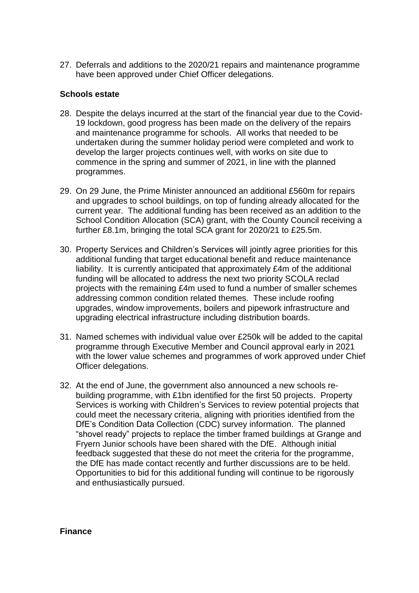27. Deferrals and additions to the 2020/21 repairs and maintenance programme have been approved under Chief Officer delegations.

# **Schools estate**

- 28. Despite the delays incurred at the start of the financial year due to the Covid-19 lockdown, good progress has been made on the delivery of the repairs and maintenance programme for schools. All works that needed to be undertaken during the summer holiday period were completed and work to develop the larger projects continues well, with works on site due to commence in the spring and summer of 2021, in line with the planned programmes.
- 29. On 29 June, the Prime Minister announced an additional £560m for repairs and upgrades to school buildings, on top of funding already allocated for the current year. The additional funding has been received as an addition to the School Condition Allocation (SCA) grant, with the County Council receiving a further £8.1m, bringing the total SCA grant for 2020/21 to £25.5m.
- 30. Property Services and Children's Services will jointly agree priorities for this additional funding that target educational benefit and reduce maintenance liability. It is currently anticipated that approximately £4m of the additional funding will be allocated to address the next two priority SCOLA reclad projects with the remaining £4m used to fund a number of smaller schemes addressing common condition related themes. These include roofing upgrades, window improvements, boilers and pipework infrastructure and upgrading electrical infrastructure including distribution boards.
- 31. Named schemes with individual value over £250k will be added to the capital programme through Executive Member and Council approval early in 2021 with the lower value schemes and programmes of work approved under Chief Officer delegations.
- 32. At the end of June, the government also announced a new schools rebuilding programme, with £1bn identified for the first 50 projects. Property Services is working with Children's Services to review potential projects that could meet the necessary criteria, aligning with priorities identified from the DfE's Condition Data Collection (CDC) survey information. The planned "shovel ready" projects to replace the timber framed buildings at Grange and Fryern Junior schools have been shared with the DfE. Although initial feedback suggested that these do not meet the criteria for the programme, the DfE has made contact recently and further discussions are to be held. Opportunities to bid for this additional funding will continue to be rigorously and enthusiastically pursued.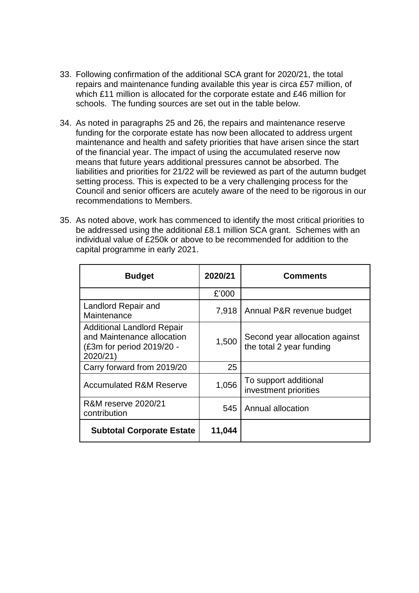- 33. Following confirmation of the additional SCA grant for 2020/21, the total repairs and maintenance funding available this year is circa £57 million, of which £11 million is allocated for the corporate estate and £46 million for schools. The funding sources are set out in the table below.
- 34. As noted in paragraphs 25 and 26, the repairs and maintenance reserve funding for the corporate estate has now been allocated to address urgent maintenance and health and safety priorities that have arisen since the start of the financial year. The impact of using the accumulated reserve now means that future years additional pressures cannot be absorbed. The liabilities and priorities for 21/22 will be reviewed as part of the autumn budget setting process. This is expected to be a very challenging process for the Council and senior officers are acutely aware of the need to be rigorous in our recommendations to Members.
- 35. As noted above, work has commenced to identify the most critical priorities to be addressed using the additional £8.1 million SCA grant. Schemes with an individual value of £250k or above to be recommended for addition to the capital programme in early 2021.

| <b>Budget</b>                                                                                            | 2020/21 | <b>Comments</b>                                            |
|----------------------------------------------------------------------------------------------------------|---------|------------------------------------------------------------|
|                                                                                                          | £'000   |                                                            |
| Landlord Repair and<br>Maintenance                                                                       | 7,918   | Annual P&R revenue budget                                  |
| <b>Additional Landlord Repair</b><br>and Maintenance allocation<br>(£3m for period 2019/20 -<br>2020/21) | 1,500   | Second year allocation against<br>the total 2 year funding |
| Carry forward from 2019/20                                                                               | 25      |                                                            |
| <b>Accumulated R&amp;M Reserve</b>                                                                       | 1,056   | To support additional<br>investment priorities             |
| <b>R&amp;M</b> reserve 2020/21<br>contribution                                                           | 545     | Annual allocation                                          |
| <b>Subtotal Corporate Estate</b>                                                                         | 11,044  |                                                            |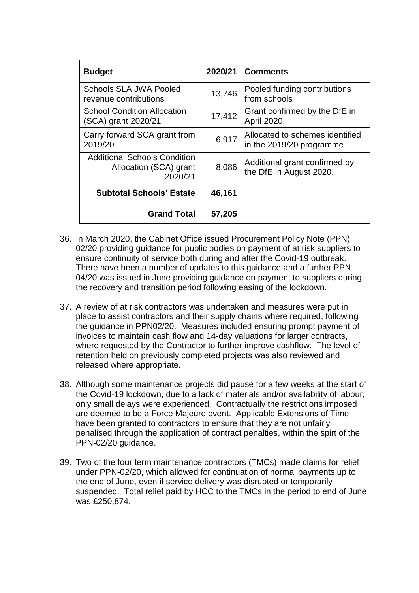| <b>Budget</b>                                                            | 2020/21 | <b>Comments</b>                                             |
|--------------------------------------------------------------------------|---------|-------------------------------------------------------------|
| <b>Schools SLA JWA Pooled</b><br>revenue contributions                   | 13,746  | Pooled funding contributions<br>from schools                |
| <b>School Condition Allocation</b><br>(SCA) grant 2020/21                | 17,412  | Grant confirmed by the DfE in<br>April 2020.                |
| Carry forward SCA grant from<br>2019/20                                  | 6,917   | Allocated to schemes identified<br>in the 2019/20 programme |
| <b>Additional Schools Condition</b><br>Allocation (SCA) grant<br>2020/21 | 8,086   | Additional grant confirmed by<br>the DfE in August 2020.    |
| <b>Subtotal Schools' Estate</b>                                          | 46,161  |                                                             |
| <b>Grand Total</b>                                                       | 57,205  |                                                             |

- 36. In March 2020, the Cabinet Office issued Procurement Policy Note (PPN) 02/20 providing guidance for public bodies on payment of at risk suppliers to ensure continuity of service both during and after the Covid-19 outbreak. There have been a number of updates to this guidance and a further PPN 04/20 was issued in June providing guidance on payment to suppliers during the recovery and transition period following easing of the lockdown.
- 37. A review of at risk contractors was undertaken and measures were put in place to assist contractors and their supply chains where required, following the guidance in PPN02/20. Measures included ensuring prompt payment of invoices to maintain cash flow and 14-day valuations for larger contracts, where requested by the Contractor to further improve cashflow. The level of retention held on previously completed projects was also reviewed and released where appropriate.
- 38. Although some maintenance projects did pause for a few weeks at the start of the Covid-19 lockdown, due to a lack of materials and/or availability of labour, only small delays were experienced. Contractually the restrictions imposed are deemed to be a Force Majeure event. Applicable Extensions of Time have been granted to contractors to ensure that they are not unfairly penalised through the application of contract penalties, within the spirt of the PPN-02/20 guidance.
- 39. Two of the four term maintenance contractors (TMCs) made claims for relief under PPN-02/20, which allowed for continuation of normal payments up to the end of June, even if service delivery was disrupted or temporarily suspended. Total relief paid by HCC to the TMCs in the period to end of June was £250,874.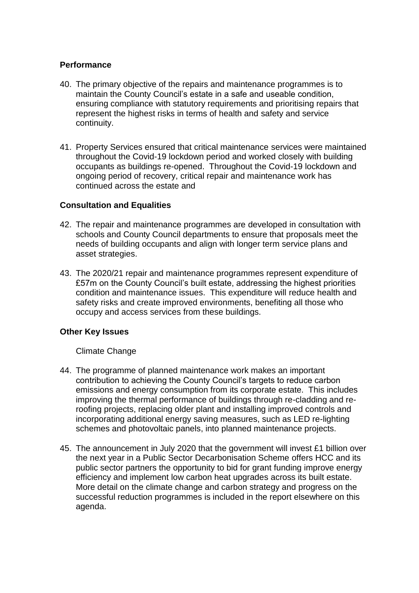# **Performance**

- 40. The primary objective of the repairs and maintenance programmes is to maintain the County Council's estate in a safe and useable condition, ensuring compliance with statutory requirements and prioritising repairs that represent the highest risks in terms of health and safety and service continuity.
- 41. Property Services ensured that critical maintenance services were maintained throughout the Covid-19 lockdown period and worked closely with building occupants as buildings re-opened. Throughout the Covid-19 lockdown and ongoing period of recovery, critical repair and maintenance work has continued across the estate and

# **Consultation and Equalities**

- 42. The repair and maintenance programmes are developed in consultation with schools and County Council departments to ensure that proposals meet the needs of building occupants and align with longer term service plans and asset strategies.
- 43. The 2020/21 repair and maintenance programmes represent expenditure of £57m on the County Council's built estate, addressing the highest priorities condition and maintenance issues. This expenditure will reduce health and safety risks and create improved environments, benefiting all those who occupy and access services from these buildings.

## **Other Key Issues**

Climate Change

- 44. The programme of planned maintenance work makes an important contribution to achieving the County Council's targets to reduce carbon emissions and energy consumption from its corporate estate. This includes improving the thermal performance of buildings through re-cladding and reroofing projects, replacing older plant and installing improved controls and incorporating additional energy saving measures, such as LED re-lighting schemes and photovoltaic panels, into planned maintenance projects.
- 45. The announcement in July 2020 that the government will invest £1 billion over the next year in a Public Sector Decarbonisation Scheme offers HCC and its public sector partners the opportunity to bid for grant funding improve energy efficiency and implement low carbon heat upgrades across its built estate. More detail on the climate change and carbon strategy and progress on the successful reduction programmes is included in the report elsewhere on this agenda.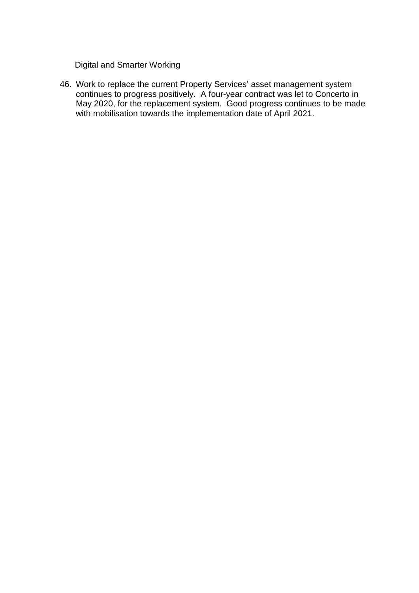Digital and Smarter Working

46. Work to replace the current Property Services' asset management system continues to progress positively. A four-year contract was let to Concerto in May 2020, for the replacement system. Good progress continues to be made with mobilisation towards the implementation date of April 2021.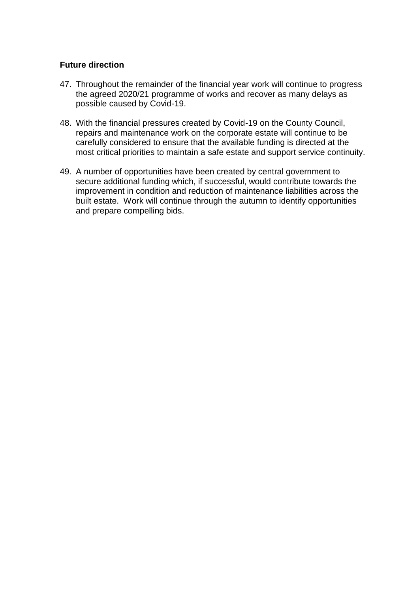# **Future direction**

- 47. Throughout the remainder of the financial year work will continue to progress the agreed 2020/21 programme of works and recover as many delays as possible caused by Covid-19.
- 48. With the financial pressures created by Covid-19 on the County Council, repairs and maintenance work on the corporate estate will continue to be carefully considered to ensure that the available funding is directed at the most critical priorities to maintain a safe estate and support service continuity.
- 49. A number of opportunities have been created by central government to secure additional funding which, if successful, would contribute towards the improvement in condition and reduction of maintenance liabilities across the built estate. Work will continue through the autumn to identify opportunities and prepare compelling bids.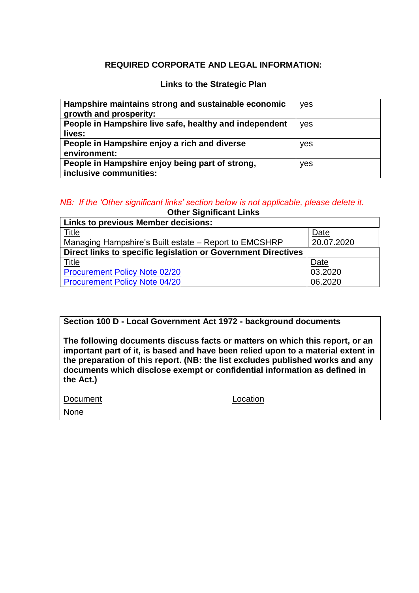# **REQUIRED CORPORATE AND LEGAL INFORMATION:**

#### **Links to the Strategic Plan**

| Hampshire maintains strong and sustainable economic<br>growth and prosperity: | yes |
|-------------------------------------------------------------------------------|-----|
| People in Hampshire live safe, healthy and independent<br>lives:              | yes |
| People in Hampshire enjoy a rich and diverse<br>environment:                  | yes |
| People in Hampshire enjoy being part of strong,<br>inclusive communities:     | yes |

#### *NB: If the 'Other significant links' section below is not applicable, please delete it.* **Other Significant Links**

| <b>Uther Significant Links</b><br><b>Links to previous Member decisions:</b> |             |  |  |
|------------------------------------------------------------------------------|-------------|--|--|
| <b>Title</b>                                                                 | Date        |  |  |
| Managing Hampshire's Built estate – Report to EMCSHRP                        | 20.07.2020  |  |  |
| Direct links to specific legislation or Government Directives                |             |  |  |
| <b>Title</b>                                                                 | <b>Date</b> |  |  |
| <b>Procurement Policy Note 02/20</b>                                         | 03.2020     |  |  |
| <b>Procurement Policy Note 04/20</b>                                         | 06.2020     |  |  |

**Section 100 D - Local Government Act 1972 - background documents**

**The following documents discuss facts or matters on which this report, or an important part of it, is based and have been relied upon to a material extent in the preparation of this report. (NB: the list excludes published works and any documents which disclose exempt or confidential information as defined in the Act.)**

| Document | Location |
|----------|----------|
| None     |          |